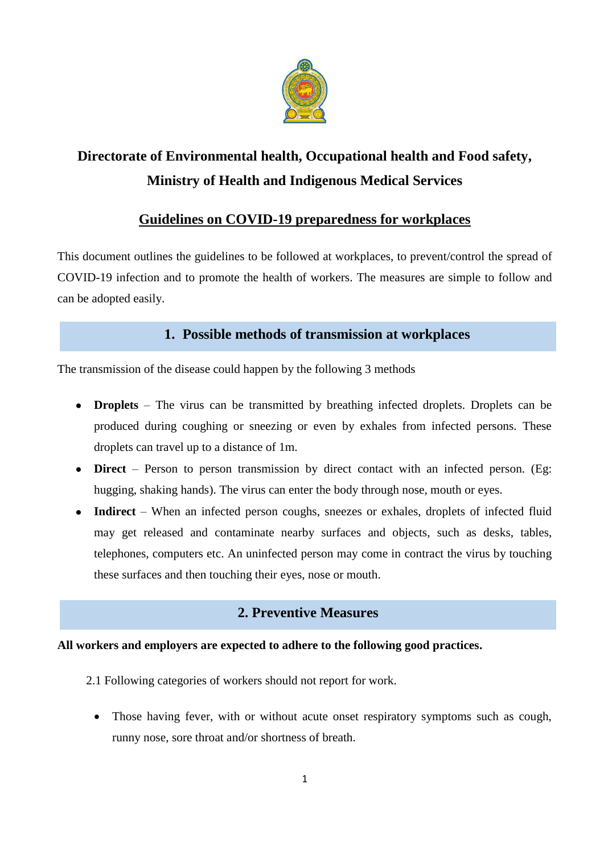

# **Directorate of Environmental health, Occupational health and Food safety, Ministry of Health and Indigenous Medical Services**

# **Guidelines on COVID-19 preparedness for workplaces**

This document outlines the guidelines to be followed at workplaces, to prevent/control the spread of COVID-19 infection and to promote the health of workers. The measures are simple to follow and can be adopted easily.

# **1. Possible methods of transmission at workplaces**

The transmission of the disease could happen by the following 3 methods

- **Droplets** The virus can be transmitted by breathing infected droplets. Droplets can be produced during coughing or sneezing or even by exhales from infected persons. These droplets can travel up to a distance of 1m.
- **Direct** Person to person transmission by direct contact with an infected person. (Eg: hugging, shaking hands). The virus can enter the body through nose, mouth or eyes.
- Indirect When an infected person coughs, sneezes or exhales, droplets of infected fluid may get released and contaminate nearby surfaces and objects, such as desks, tables, telephones, computers etc. An uninfected person may come in contract the virus by touching these surfaces and then touching their eyes, nose or mouth.

# **2. Preventive Measures**

### **All workers and employers are expected to adhere to the following good practices.**

- 2.1 Following categories of workers should not report for work.
	- Those having fever, with or without acute onset respiratory symptoms such as cough, runny nose, sore throat and/or shortness of breath.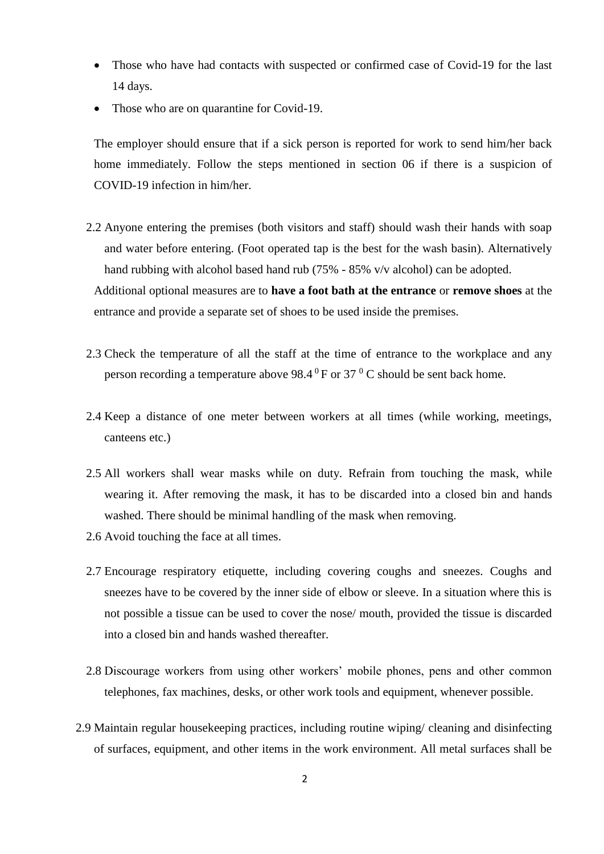- Those who have had contacts with suspected or confirmed case of Covid-19 for the last 14 days.
- Those who are on quarantine for Covid-19.

The employer should ensure that if a sick person is reported for work to send him/her back home immediately. Follow the steps mentioned in section 06 if there is a suspicion of COVID-19 infection in him/her.

- 2.2 Anyone entering the premises (both visitors and staff) should wash their hands with soap and water before entering. (Foot operated tap is the best for the wash basin). Alternatively hand rubbing with alcohol based hand rub (75% - 85% v/v alcohol) can be adopted. Additional optional measures are to **have a foot bath at the entrance** or **remove shoes** at the entrance and provide a separate set of shoes to be used inside the premises.
- 2.3 Check the temperature of all the staff at the time of entrance to the workplace and any person recording a temperature above  $98.4\,^0$  F or 37  $^0$  C should be sent back home.
- 2.4 Keep a distance of one meter between workers at all times (while working, meetings, canteens etc.)
- 2.5 All workers shall wear masks while on duty. Refrain from touching the mask, while wearing it. After removing the mask, it has to be discarded into a closed bin and hands washed. There should be minimal handling of the mask when removing.
- 2.6 Avoid touching the face at all times.
- 2.7 Encourage respiratory etiquette, including covering coughs and sneezes. Coughs and sneezes have to be covered by the inner side of elbow or sleeve. In a situation where this is not possible a tissue can be used to cover the nose/ mouth, provided the tissue is discarded into a closed bin and hands washed thereafter.
- 2.8 Discourage workers from using other workers' mobile phones, pens and other common telephones, fax machines, desks, or other work tools and equipment, whenever possible.
- 2.9 Maintain regular housekeeping practices, including routine wiping/ cleaning and disinfecting of surfaces, equipment, and other items in the work environment. All metal surfaces shall be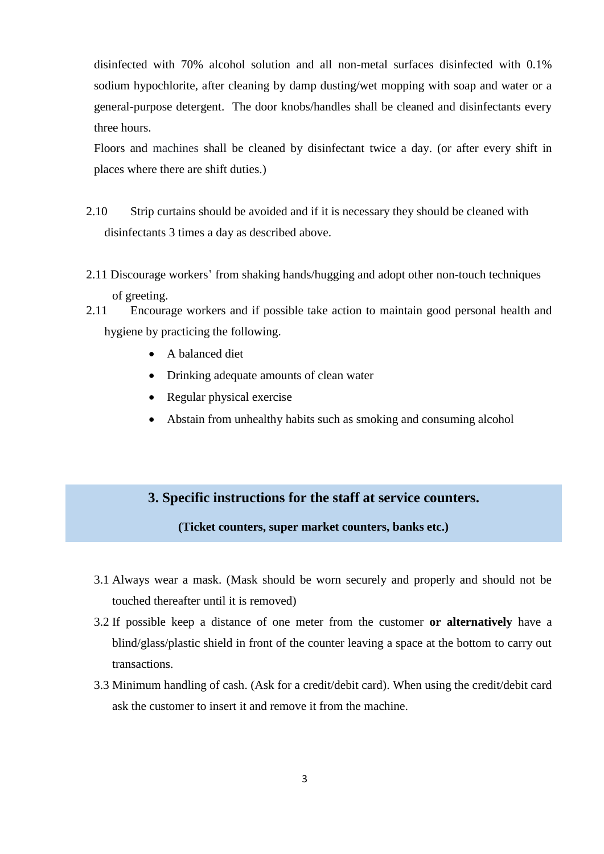disinfected with 70% alcohol solution and all non-metal surfaces disinfected with 0.1% sodium hypochlorite, after cleaning by damp dusting/wet mopping with soap and water or a general-purpose detergent. The door knobs/handles shall be cleaned and disinfectants every three hours.

Floors and machines shall be cleaned by disinfectant twice a day. (or after every shift in places where there are shift duties.)

- 2.10 Strip curtains should be avoided and if it is necessary they should be cleaned with disinfectants 3 times a day as described above.
- 2.11 Discourage workers' from shaking hands/hugging and adopt other non-touch techniques of greeting.
- 2.11 Encourage workers and if possible take action to maintain good personal health and hygiene by practicing the following.
	- A balanced diet

Ĩ

- Drinking adequate amounts of clean water
- Regular physical exercise
- Abstain from unhealthy habits such as smoking and consuming alcohol

### **3. Specific instructions for the staff at service counters.**

#### **(Ticket counters, super market counters, banks etc.)**

- 3.1 Always wear a mask. (Mask should be worn securely and properly and should not be touched thereafter until it is removed)
- 3.2 If possible keep a distance of one meter from the customer **or alternatively** have a blind/glass/plastic shield in front of the counter leaving a space at the bottom to carry out transactions.
- 3.3 Minimum handling of cash. (Ask for a credit/debit card). When using the credit/debit card ask the customer to insert it and remove it from the machine.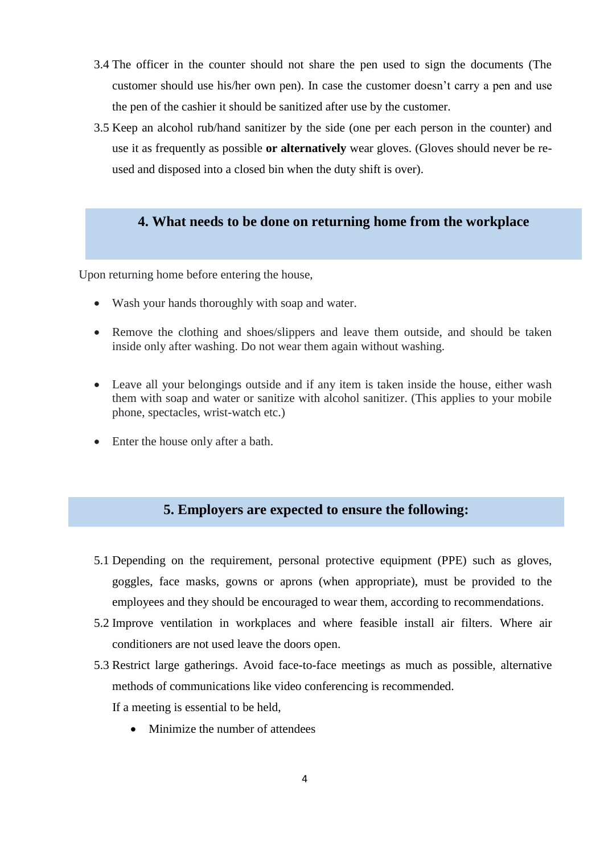- 3.4 The officer in the counter should not share the pen used to sign the documents (The customer should use his/her own pen). In case the customer doesn't carry a pen and use the pen of the cashier it should be sanitized after use by the customer.
- 3.5 Keep an alcohol rub/hand sanitizer by the side (one per each person in the counter) and use it as frequently as possible **or alternatively** wear gloves. (Gloves should never be reused and disposed into a closed bin when the duty shift is over).

# **4. What needs to be done on returning home from the workplace**

Upon returning home before entering the house,

- Wash your hands thoroughly with soap and water.
- Remove the clothing and shoes/slippers and leave them outside, and should be taken inside only after washing. Do not wear them again without washing.
- Leave all your belongings outside and if any item is taken inside the house, either wash them with soap and water or sanitize with alcohol sanitizer. (This applies to your mobile phone, spectacles, wrist-watch etc.)
- Enter the house only after a bath.

## **5. Employers are expected to ensure the following:**

- 5.1 Depending on the requirement, personal protective equipment (PPE) such as gloves, goggles, face masks, gowns or aprons (when appropriate), must be provided to the employees and they should be encouraged to wear them, according to recommendations.
- 5.2 Improve ventilation in workplaces and where feasible install air filters. Where air conditioners are not used leave the doors open.
- 5.3 Restrict large gatherings. Avoid face-to-face meetings as much as possible, alternative methods of communications like video conferencing is recommended. If a meeting is essential to be held,
	- Minimize the number of attendees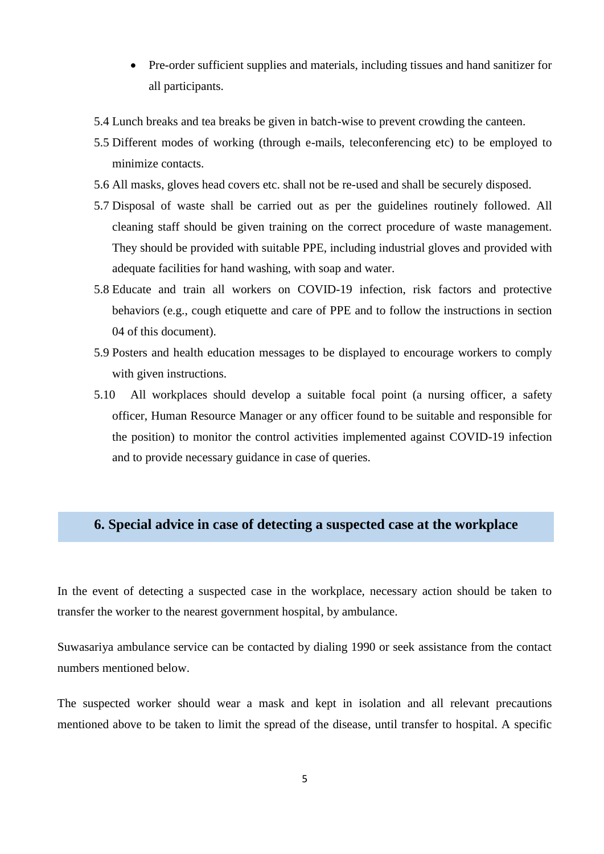- Pre-order sufficient supplies and materials, including tissues and hand sanitizer for all participants.
- 5.4 Lunch breaks and tea breaks be given in batch-wise to prevent crowding the canteen.
- 5.5 Different modes of working (through e-mails, teleconferencing etc) to be employed to minimize contacts.
- 5.6 All masks, gloves head covers etc. shall not be re-used and shall be securely disposed.
- 5.7 Disposal of waste shall be carried out as per the guidelines routinely followed. All cleaning staff should be given training on the correct procedure of waste management. They should be provided with suitable PPE, including industrial gloves and provided with adequate facilities for hand washing, with soap and water.
- 5.8 Educate and train all workers on COVID-19 infection, risk factors and protective behaviors (e.g., cough etiquette and care of PPE and to follow the instructions in section 04 of this document).
- 5.9 Posters and health education messages to be displayed to encourage workers to comply with given instructions.
- 5.10 All workplaces should develop a suitable focal point (a nursing officer, a safety officer, Human Resource Manager or any officer found to be suitable and responsible for the position) to monitor the control activities implemented against COVID-19 infection and to provide necessary guidance in case of queries.

# **6. Special advice in case of detecting a suspected case at the workplace**

In the event of detecting a suspected case in the workplace, necessary action should be taken to transfer the worker to the nearest government hospital, by ambulance.

Suwasariya ambulance service can be contacted by dialing 1990 or seek assistance from the contact numbers mentioned below.

The suspected worker should wear a mask and kept in isolation and all relevant precautions mentioned above to be taken to limit the spread of the disease, until transfer to hospital. A specific